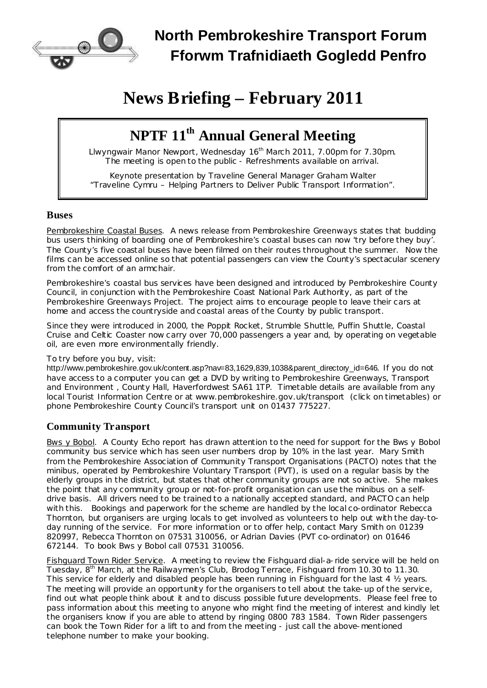

# **North Pembrokeshire Transport Forum Fforwm Trafnidiaeth Gogledd Penfro**

# **News Briefing – February 2011**

# **NPTF 11 th Annual General Meeting**

Llwyngwair Manor Newport, Wednesday 16<sup>th</sup> March 2011, 7.00pm for 7.30pm. The meeting is open to the public - Refreshments available on arrival.

Keynote presentation by Traveline General Manager Graham Walter "Traveline Cymru – Helping Partners to Deliver Public Transport Information".

#### **Buses**

Pembrokeshire Coastal Buses. A news release from Pembrokeshire Greenways states that budding bus users thinking of boarding one of Pembrokeshire's coastal buses can now 'try before they buy'. The County's five coastal buses have been filmed on their routes throughout the summer. Now the films can be accessed online so that potential passengers can view the County's spectacular scenery from the comfort of an armchair.

Pembrokeshire's coastal bus services have been designed and introduced by Pembrokeshire County Council, in conjunction with the Pembrokeshire Coast National Park Authority, as part of the Pembrokeshire Greenways Project. The project aims to encourage people to leave their cars at home and access the countryside and coastal areas of the County by public transport.

Since they were introduced in 2000, the Poppit Rocket, Strumble Shuttle, Puffin Shuttle, Coastal Cruise and Celtic Coaster now carry over 70,000 passengers a year and, by operating on vegetable oil, are even more environmentally friendly.

#### To try before you buy, visit:

[http://www.pembrokeshire.gov.uk/content.asp?nav=83,1629,839,1038&parent\\_directory\\_id=646](http://www.pembrokeshire.gov.uk/content.asp?nav=838,1629,839,1038&parent_directory_id=646). If you do not have access to a computer you can get a DVD by writing to Pembrokeshire Greenways, Transport and Environment , County Hall, Haverfordwest SA61 1TP. Timetable details are available from any local Tourist Information Centre or at [www.pembrokeshire.gov.uk/transport](http://www.pembrokeshire.gov.uk/transport) (click on timetables) or phone Pembrokeshire County Council's transport unit on 01437 775227.

### **Community Transport**

Bws y Bobol. A *County Echo* report has drawn attention to the need for support for the Bws y Bobol community bus service which has seen user numbers drop by 10% in the last year. Mary Smith from the Pembrokeshire Association of Community Transport Organisations (PACTO) notes that the minibus, operated by Pembrokeshire Voluntary Transport (PVT), is used on a regular basis by the elderly groups in the district, but states that other community groups are not so active. She makes the point that any community group or not-for-profit organisation can use the minibus on a selfdrive basis. All drivers need to be trained to a nationally accepted standard, and PACTO can help with this. Bookings and paperwork for the scheme are handled by the local co-ordinator Rebecca Thornton, but organisers are urging locals to get involved as volunteers to help out with the day-today running of the service. For more information or to offer help, contact Mary Smith on 01239 820997, Rebecca Thornton on 07531 310056, or Adrian Davies (PVT co-ordinator) on 01646 672144. To book Bws y Bobol call 07531 310056.

Fishguard Town Rider Service. A meeting to review the Fishguard dial-a-ride service will be held on Tuesday, 8<sup>th</sup> March, at the Railwaymen's Club, Brodog Terrace, Fishguard from 10.30 to 11.30. This service for elderly and disabled people has been running in Fishguard for the last 4  $\frac{1}{2}$  years. The meeting will provide an opportunity for the organisers to tell about the take-up of the service, find out what people think about it and to discuss possible future developments. Please feel free to pass information about this meeting to anyone who might find the meeting of interest and kindly let the organisers know if you are able to attend by ringing 0800 783 1584. Town Rider passengers can book the Town Rider for a lift to and from the meeting - just call the above-mentioned telephone number to make your booking.